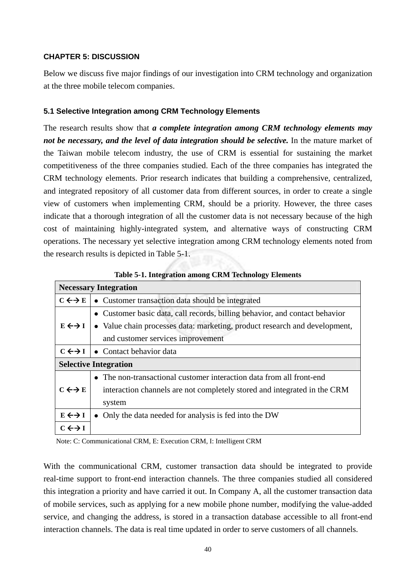### **CHAPTER 5: DISCUSSION**

Below we discuss five major findings of our investigation into CRM technology and organization at the three mobile telecom companies.

### **5.1 Selective Integration among CRM Technology Elements**

The research results show that *a complete integration among CRM technology elements may not be necessary, and the level of data integration should be selective.* In the mature market of the Taiwan mobile telecom industry, the use of CRM is essential for sustaining the market competitiveness of the three companies studied. Each of the three companies has integrated the CRM technology elements. Prior research indicates that building a comprehensive, centralized, and integrated repository of all customer data from different sources, in order to create a single view of customers when implementing CRM, should be a priority. However, the three cases indicate that a thorough integration of all the customer data is not necessary because of the high cost of maintaining highly-integrated system, and alternative ways of constructing CRM operations. The necessary yet selective integration among CRM technology elements noted from the research results is depicted in Table 5-1.

|                       | <b>Necessary Integration</b>                                                |
|-----------------------|-----------------------------------------------------------------------------|
| $C \leftrightarrow E$ | • Customer transaction data should be integrated                            |
|                       | • Customer basic data, call records, billing behavior, and contact behavior |
| $E \leftrightarrow I$ | • Value chain processes data: marketing, product research and development,  |
|                       | and customer services improvement                                           |
| $C \leftrightarrow I$ | • Contact behavior data                                                     |
|                       | <b>Selective Integration</b>                                                |
|                       | • The non-transactional customer interaction data from all front-end        |
| $C \leftrightarrow E$ | interaction channels are not completely stored and integrated in the CRM    |
|                       | system                                                                      |
| $E \leftrightarrow I$ | Only the data needed for analysis is fed into the DW                        |
| $C \leftrightarrow I$ |                                                                             |

**Table 5-1. Integration among CRM Technology Elements** 

Note: C: Communicational CRM, E: Execution CRM, I: Intelligent CRM

With the communicational CRM, customer transaction data should be integrated to provide real-time support to front-end interaction channels. The three companies studied all considered this integration a priority and have carried it out. In Company A, all the customer transaction data of mobile services, such as applying for a new mobile phone number, modifying the value-added service, and changing the address, is stored in a transaction database accessible to all front-end interaction channels. The data is real time updated in order to serve customers of all channels.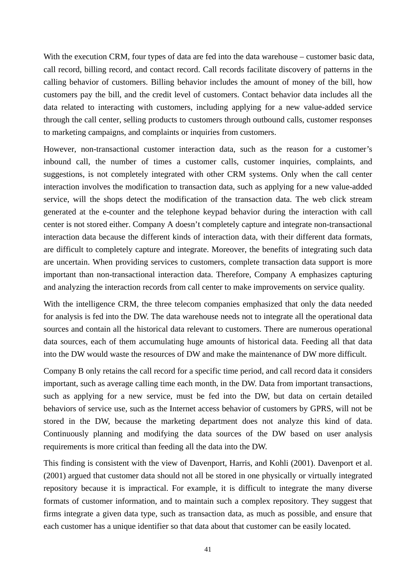With the execution CRM, four types of data are fed into the data warehouse – customer basic data, call record, billing record, and contact record. Call records facilitate discovery of patterns in the calling behavior of customers. Billing behavior includes the amount of money of the bill, how customers pay the bill, and the credit level of customers. Contact behavior data includes all the data related to interacting with customers, including applying for a new value-added service through the call center, selling products to customers through outbound calls, customer responses to marketing campaigns, and complaints or inquiries from customers.

However, non-transactional customer interaction data, such as the reason for a customer's inbound call, the number of times a customer calls, customer inquiries, complaints, and suggestions, is not completely integrated with other CRM systems. Only when the call center interaction involves the modification to transaction data, such as applying for a new value-added service, will the shops detect the modification of the transaction data. The web click stream generated at the e-counter and the telephone keypad behavior during the interaction with call center is not stored either. Company A doesn't completely capture and integrate non-transactional interaction data because the different kinds of interaction data, with their different data formats, are difficult to completely capture and integrate. Moreover, the benefits of integrating such data are uncertain. When providing services to customers, complete transaction data support is more important than non-transactional interaction data. Therefore, Company A emphasizes capturing and analyzing the interaction records from call center to make improvements on service quality.

With the intelligence CRM, the three telecom companies emphasized that only the data needed for analysis is fed into the DW. The data warehouse needs not to integrate all the operational data sources and contain all the historical data relevant to customers. There are numerous operational data sources, each of them accumulating huge amounts of historical data. Feeding all that data into the DW would waste the resources of DW and make the maintenance of DW more difficult.

Company B only retains the call record for a specific time period, and call record data it considers important, such as average calling time each month, in the DW. Data from important transactions, such as applying for a new service, must be fed into the DW, but data on certain detailed behaviors of service use, such as the Internet access behavior of customers by GPRS, will not be stored in the DW, because the marketing department does not analyze this kind of data. Continuously planning and modifying the data sources of the DW based on user analysis requirements is more critical than feeding all the data into the DW.

This finding is consistent with the view of Davenport, Harris, and Kohli (2001). Davenport et al. (2001) argued that customer data should not all be stored in one physically or virtually integrated repository because it is impractical. For example, it is difficult to integrate the many diverse formats of customer information, and to maintain such a complex repository. They suggest that firms integrate a given data type, such as transaction data, as much as possible, and ensure that each customer has a unique identifier so that data about that customer can be easily located.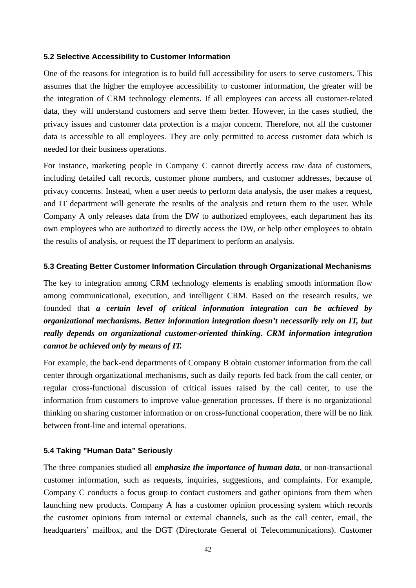#### **5.2 Selective Accessibility to Customer Information**

One of the reasons for integration is to build full accessibility for users to serve customers. This assumes that the higher the employee accessibility to customer information, the greater will be the integration of CRM technology elements. If all employees can access all customer-related data, they will understand customers and serve them better. However, in the cases studied, the privacy issues and customer data protection is a major concern. Therefore, not all the customer data is accessible to all employees. They are only permitted to access customer data which is needed for their business operations.

For instance, marketing people in Company C cannot directly access raw data of customers, including detailed call records, customer phone numbers, and customer addresses, because of privacy concerns. Instead, when a user needs to perform data analysis, the user makes a request, and IT department will generate the results of the analysis and return them to the user. While Company A only releases data from the DW to authorized employees, each department has its own employees who are authorized to directly access the DW, or help other employees to obtain the results of analysis, or request the IT department to perform an analysis.

#### **5.3 Creating Better Customer Information Circulation through Organizational Mechanisms**

The key to integration among CRM technology elements is enabling smooth information flow among communicational, execution, and intelligent CRM. Based on the research results, we founded that *a certain level of critical information integration can be achieved by organizational mechanisms. Better information integration doesn't necessarily rely on IT, but really depends on organizational customer-oriented thinking. CRM information integration cannot be achieved only by means of IT.* 

For example, the back-end departments of Company B obtain customer information from the call center through organizational mechanisms, such as daily reports fed back from the call center, or regular cross-functional discussion of critical issues raised by the call center, to use the information from customers to improve value-generation processes. If there is no organizational thinking on sharing customer information or on cross-functional cooperation, there will be no link between front-line and internal operations.

#### **5.4 Taking "Human Data" Seriously**

The three companies studied all *emphasize the importance of human data*, or non-transactional customer information, such as requests, inquiries, suggestions, and complaints. For example, Company C conducts a focus group to contact customers and gather opinions from them when launching new products. Company A has a customer opinion processing system which records the customer opinions from internal or external channels, such as the call center, email, the headquarters' mailbox, and the DGT (Directorate General of Telecommunications). Customer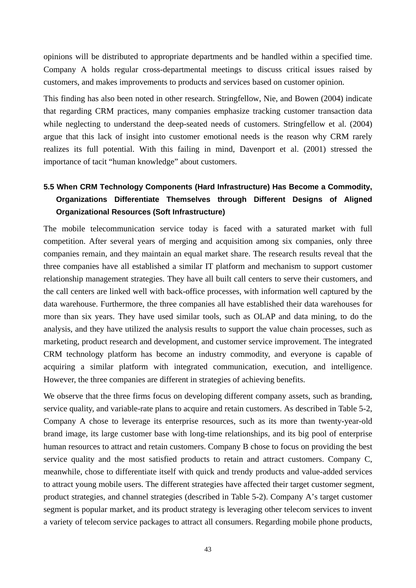opinions will be distributed to appropriate departments and be handled within a specified time. Company A holds regular cross-departmental meetings to discuss critical issues raised by customers, and makes improvements to products and services based on customer opinion.

This finding has also been noted in other research. Stringfellow, Nie, and Bowen (2004) indicate that regarding CRM practices, many companies emphasize tracking customer transaction data while neglecting to understand the deep-seated needs of customers. Stringfellow et al. (2004) argue that this lack of insight into customer emotional needs is the reason why CRM rarely realizes its full potential. With this failing in mind, Davenport et al. (2001) stressed the importance of tacit "human knowledge" about customers.

# **5.5 When CRM Technology Components (Hard Infrastructure) Has Become a Commodity, Organizations Differentiate Themselves through Different Designs of Aligned Organizational Resources (Soft Infrastructure)**

The mobile telecommunication service today is faced with a saturated market with full competition. After several years of merging and acquisition among six companies, only three companies remain, and they maintain an equal market share. The research results reveal that the three companies have all established a similar IT platform and mechanism to support customer relationship management strategies. They have all built call centers to serve their customers, and the call centers are linked well with back-office processes, with information well captured by the data warehouse. Furthermore, the three companies all have established their data warehouses for more than six years. They have used similar tools, such as OLAP and data mining, to do the analysis, and they have utilized the analysis results to support the value chain processes, such as marketing, product research and development, and customer service improvement. The integrated CRM technology platform has become an industry commodity, and everyone is capable of acquiring a similar platform with integrated communication, execution, and intelligence. However, the three companies are different in strategies of achieving benefits.

We observe that the three firms focus on developing different company assets, such as branding, service quality, and variable-rate plans to acquire and retain customers. As described in Table 5-2, Company A chose to leverage its enterprise resources, such as its more than twenty-year-old brand image, its large customer base with long-time relationships, and its big pool of enterprise human resources to attract and retain customers. Company B chose to focus on providing the best service quality and the most satisfied products to retain and attract customers. Company C, meanwhile, chose to differentiate itself with quick and trendy products and value-added services to attract young mobile users. The different strategies have affected their target customer segment, product strategies, and channel strategies (described in Table 5-2). Company A's target customer segment is popular market, and its product strategy is leveraging other telecom services to invent a variety of telecom service packages to attract all consumers. Regarding mobile phone products,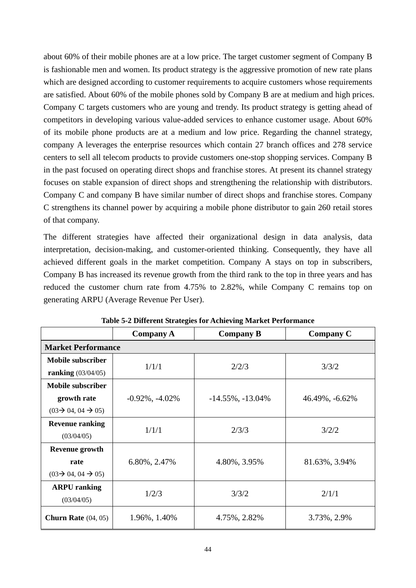about 60% of their mobile phones are at a low price. The target customer segment of Company B is fashionable men and women. Its product strategy is the aggressive promotion of new rate plans which are designed according to customer requirements to acquire customers whose requirements are satisfied. About 60% of the mobile phones sold by Company B are at medium and high prices. Company C targets customers who are young and trendy. Its product strategy is getting ahead of competitors in developing various value-added services to enhance customer usage. About 60% of its mobile phone products are at a medium and low price. Regarding the channel strategy, company A leverages the enterprise resources which contain 27 branch offices and 278 service centers to sell all telecom products to provide customers one-stop shopping services. Company B in the past focused on operating direct shops and franchise stores. At present its channel strategy focuses on stable expansion of direct shops and strengthening the relationship with distributors. Company C and company B have similar number of direct shops and franchise stores. Company C strengthens its channel power by acquiring a mobile phone distributor to gain 260 retail stores of that company.

The different strategies have affected their organizational design in data analysis, data interpretation, decision-making, and customer-oriented thinking. Consequently, they have all achieved different goals in the market competition. Company A stays on top in subscribers, Company B has increased its revenue growth from the third rank to the top in three years and has reduced the customer churn rate from 4.75% to 2.82%, while Company C remains top on generating ARPU (Average Revenue Per User).

|                                          | <b>Company A</b>      | <b>Company B</b>        | <b>Company C</b> |  |
|------------------------------------------|-----------------------|-------------------------|------------------|--|
| <b>Market Performance</b>                |                       |                         |                  |  |
| <b>Mobile subscriber</b>                 | 1/1/1                 |                         |                  |  |
| <b>ranking</b> $(03/04/05)$              |                       | 2/2/3                   | 3/3/2            |  |
| <b>Mobile subscriber</b>                 |                       |                         |                  |  |
| growth rate                              | $-0.92\%$ , $-4.02\%$ | $-14.55\%$ , $-13.04\%$ | 46.49%, -6.62%   |  |
| $(03 \rightarrow 04, 04 \rightarrow 05)$ |                       |                         |                  |  |
| <b>Revenue ranking</b>                   | 1/1/1                 | 2/3/3                   | 3/2/2            |  |
| (03/04/05)                               |                       |                         |                  |  |
| <b>Revenue growth</b>                    |                       |                         |                  |  |
| rate                                     | 6.80%, 2.47%          | 4.80%, 3.95%            | 81.63%, 3.94%    |  |
| $(03\rightarrow 04, 04 \rightarrow 05)$  |                       |                         |                  |  |
| <b>ARPU</b> ranking                      |                       |                         |                  |  |
| (03/04/05)                               | 1/2/3                 | 3/3/2                   | 2/1/1            |  |
| <b>Churn Rate</b> $(04, 05)$             | 1.96%, 1.40%          | 4.75%, 2.82%            | 3.73%, 2.9%      |  |

**Table 5-2 Different Strategies for Achieving Market Performance**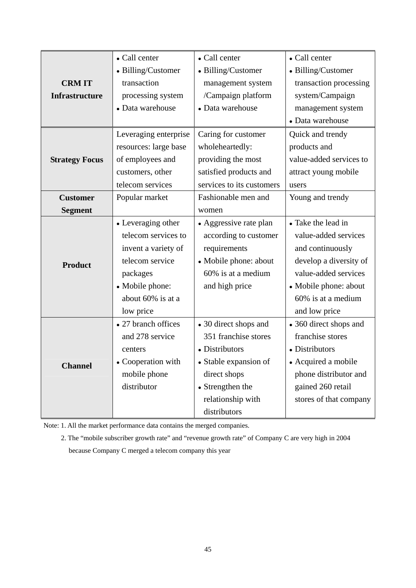|                       | • Call center         | • Call center             | • Call center           |
|-----------------------|-----------------------|---------------------------|-------------------------|
|                       | • Billing/Customer    | • Billing/Customer        | • Billing/Customer      |
| <b>CRMIT</b>          | transaction           | management system         | transaction processing  |
| <b>Infrastructure</b> | processing system     | /Campaign platform        | system/Campaign         |
|                       | • Data warehouse      | • Data warehouse          | management system       |
|                       |                       |                           | • Data warehouse        |
|                       | Leveraging enterprise | Caring for customer       | Quick and trendy        |
|                       | resources: large base | wholeheartedly:           | products and            |
| <b>Strategy Focus</b> | of employees and      | providing the most        | value-added services to |
|                       | customers, other      | satisfied products and    | attract young mobile    |
|                       | telecom services      | services to its customers | users                   |
| <b>Customer</b>       | Popular market        | Fashionable men and       | Young and trendy        |
| <b>Segment</b>        |                       | women                     |                         |
|                       | • Leveraging other    | • Aggressive rate plan    | • Take the lead in      |
|                       | telecom services to   | according to customer     | value-added services    |
|                       | invent a variety of   | requirements              | and continuously        |
| <b>Product</b>        | telecom service       | • Mobile phone: about     | develop a diversity of  |
|                       | packages              | 60% is at a medium        | value-added services    |
|                       | • Mobile phone:       | and high price            | • Mobile phone: about   |
|                       | about 60% is at a     |                           | 60% is at a medium      |
|                       | low price             |                           | and low price           |
|                       | • 27 branch offices   | • 30 direct shops and     | • 360 direct shops and  |
|                       | and 278 service       | 351 franchise stores      | franchise stores        |
|                       | centers               | • Distributors            | • Distributors          |
| <b>Channel</b>        | • Cooperation with    | • Stable expansion of     | • Acquired a mobile     |
|                       | mobile phone          | direct shops              | phone distributor and   |
|                       | distributor           | • Strengthen the          | gained 260 retail       |
|                       |                       | relationship with         | stores of that company  |
|                       |                       | distributors              |                         |

Note: 1. All the market performance data contains the merged companies.

2. The "mobile subscriber growth rate" and "revenue growth rate" of Company C are very high in 2004 because Company C merged a telecom company this year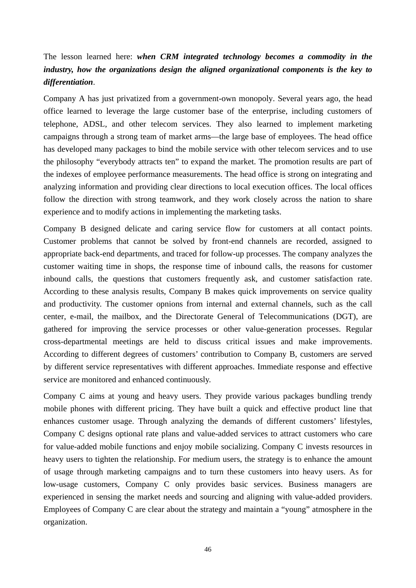# The lesson learned here: *when CRM integrated technology becomes a commodity in the industry, how the organizations design the aligned organizational components is the key to differentiation*.

Company A has just privatized from a government-own monopoly. Several years ago, the head office learned to leverage the large customer base of the enterprise, including customers of telephone, ADSL, and other telecom services. They also learned to implement marketing campaigns through a strong team of market arms—the large base of employees. The head office has developed many packages to bind the mobile service with other telecom services and to use the philosophy "everybody attracts ten" to expand the market. The promotion results are part of the indexes of employee performance measurements. The head office is strong on integrating and analyzing information and providing clear directions to local execution offices. The local offices follow the direction with strong teamwork, and they work closely across the nation to share experience and to modify actions in implementing the marketing tasks.

Company B designed delicate and caring service flow for customers at all contact points. Customer problems that cannot be solved by front-end channels are recorded, assigned to appropriate back-end departments, and traced for follow-up processes. The company analyzes the customer waiting time in shops, the response time of inbound calls, the reasons for customer inbound calls, the questions that customers frequently ask, and customer satisfaction rate. According to these analysis results, Company B makes quick improvements on service quality and productivity. The customer opnions from internal and external channels, such as the call center, e-mail, the mailbox, and the Directorate General of Telecommunications (DGT), are gathered for improving the service processes or other value-generation processes. Regular cross-departmental meetings are held to discuss critical issues and make improvements. According to different degrees of customers' contribution to Company B, customers are served by different service representatives with different approaches. Immediate response and effective service are monitored and enhanced continuously.

Company C aims at young and heavy users. They provide various packages bundling trendy mobile phones with different pricing. They have built a quick and effective product line that enhances customer usage. Through analyzing the demands of different customers' lifestyles, Company C designs optional rate plans and value-added services to attract customers who care for value-added mobile functions and enjoy mobile socializing. Company C invests resources in heavy users to tighten the relationship. For medium users, the strategy is to enhance the amount of usage through marketing campaigns and to turn these customers into heavy users. As for low-usage customers, Company C only provides basic services. Business managers are experienced in sensing the market needs and sourcing and aligning with value-added providers. Employees of Company C are clear about the strategy and maintain a "young" atmosphere in the organization.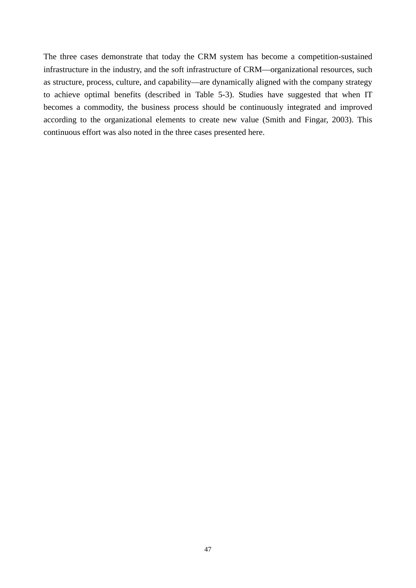The three cases demonstrate that today the CRM system has become a competition-sustained infrastructure in the industry, and the soft infrastructure of CRM—organizational resources, such as structure, process, culture, and capability—are dynamically aligned with the company strategy to achieve optimal benefits (described in Table 5-3). Studies have suggested that when IT becomes a commodity, the business process should be continuously integrated and improved according to the organizational elements to create new value (Smith and Fingar, 2003). This continuous effort was also noted in the three cases presented here.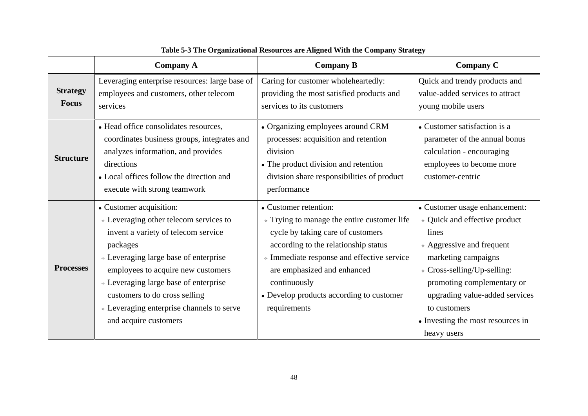|                                 | <b>Company A</b>                                                                                                                                                                                                                                                                                                                                              | <b>Company B</b>                                                                                                                                                                                                                                                                                                | <b>Company C</b>                                                                                                                                                                                                                                                                                                   |
|---------------------------------|---------------------------------------------------------------------------------------------------------------------------------------------------------------------------------------------------------------------------------------------------------------------------------------------------------------------------------------------------------------|-----------------------------------------------------------------------------------------------------------------------------------------------------------------------------------------------------------------------------------------------------------------------------------------------------------------|--------------------------------------------------------------------------------------------------------------------------------------------------------------------------------------------------------------------------------------------------------------------------------------------------------------------|
| <b>Strategy</b><br><b>Focus</b> | Leveraging enterprise resources: large base of<br>employees and customers, other telecom<br>services                                                                                                                                                                                                                                                          | Caring for customer wholeheartedly:<br>providing the most satisfied products and<br>services to its customers                                                                                                                                                                                                   | Quick and trendy products and<br>value-added services to attract<br>young mobile users                                                                                                                                                                                                                             |
| <b>Structure</b>                | • Head office consolidates resources,<br>coordinates business groups, integrates and<br>analyzes information, and provides<br>directions<br>• Local offices follow the direction and<br>execute with strong teamwork                                                                                                                                          | • Organizing employees around CRM<br>processes: acquisition and retention<br>division<br>• The product division and retention<br>division share responsibilities of product<br>performance                                                                                                                      | • Customer satisfaction is a<br>parameter of the annual bonus<br>calculation - encouraging<br>employees to become more<br>customer-centric                                                                                                                                                                         |
| <b>Processes</b>                | • Customer acquisition:<br>$\triangle$ Leveraging other telecom services to<br>invent a variety of telecom service<br>packages<br>↑ Leveraging large base of enterprise<br>employees to acquire new customers<br>* Leveraging large base of enterprise<br>customers to do cross selling<br>* Leveraging enterprise channels to serve<br>and acquire customers | • Customer retention:<br>$\div$ Trying to manage the entire customer life<br>cycle by taking care of customers<br>according to the relationship status<br>« Immediate response and effective service<br>are emphasized and enhanced<br>continuously<br>• Develop products according to customer<br>requirements | • Customer usage enhancement:<br>↑ Quick and effective product<br>lines<br>$\triangle$ Aggressive and frequent<br>marketing campaigns<br>$\triangle$ Cross-selling/Up-selling:<br>promoting complementary or<br>upgrading value-added services<br>to customers<br>• Investing the most resources in<br>heavy users |

## **Table 5-3 The Organizational Resources are Aligned With the Company Strategy**